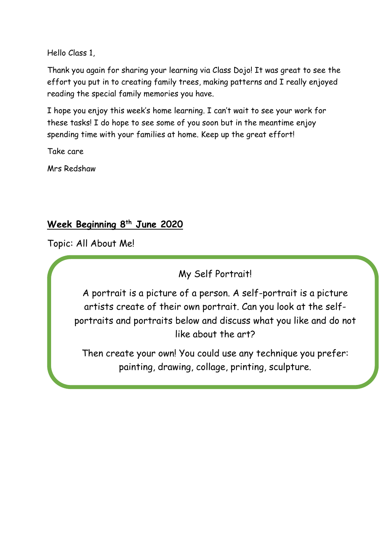Hello Class 1,

Thank you again for sharing your learning via Class Dojo! It was great to see the effort you put in to creating family trees, making patterns and I really enjoyed reading the special family memories you have.

I hope you enjoy this week's home learning. I can't wait to see your work for these tasks! I do hope to see some of you soon but in the meantime enjoy spending time with your families at home. Keep up the great effort!

Take care

Mrs Redshaw

# **Week Beginning 8 th June 2020**

Topic: All About Me!

My Self Portrait!

A portrait is a picture of a person. A self-portrait is a picture artists create of their own portrait. Can you look at the selfportraits and portraits below and discuss what you like and do not like about the art?

Then create your own! You could use any technique you prefer: painting, drawing, collage, printing, sculpture.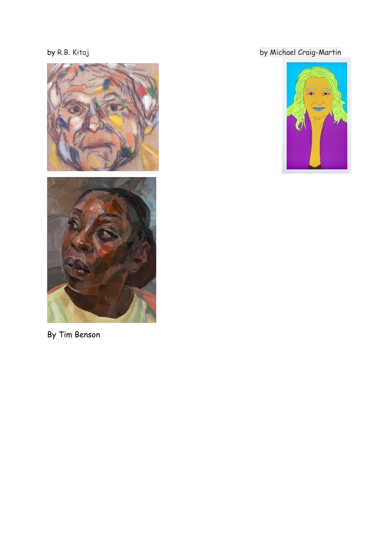



By Tim Benson

# by [R.B. Kitaj](https://www.tate.org.uk/art/artists/r-b-kitaj-1416) by Michael Craig-Martin

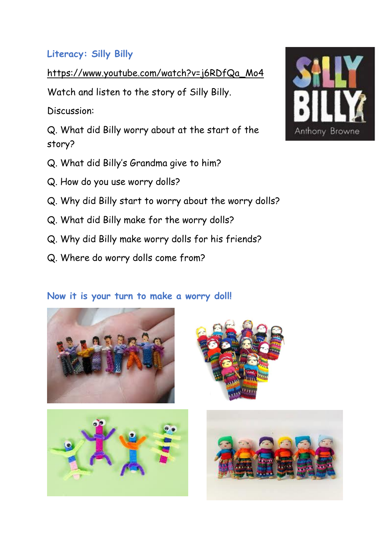# **Literacy: Silly Billy**

[https://www.youtube.com/watch?v=j6RDfQa\\_Mo4](https://www.youtube.com/watch?v=j6RDfQa_Mo4)

Watch and listen to the story of Silly Billy.

Discussion:

Q. What did Billy worry about at the start of the story?

- Q. What did Billy's Grandma give to him?
- Q. How do you use worry dolls?
- Q. Why did Billy start to worry about the worry dolls?
- Q. What did Billy make for the worry dolls?
- Q. Why did Billy make worry dolls for his friends?
- Q. Where do worry dolls come from?

# **Now it is your turn to make a worry doll!**









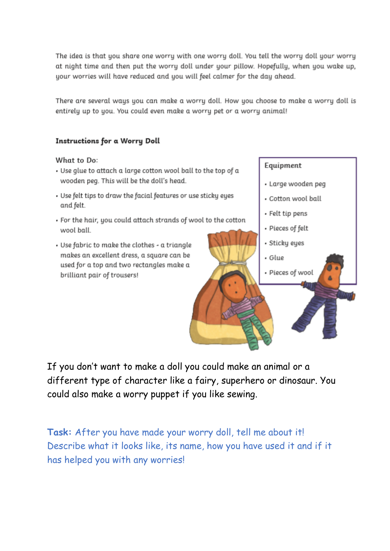The idea is that you share one worry with one worry doll. You tell the worry doll your worry at night time and then put the worry doll under your pillow. Hopefully, when you wake up, your worries will have reduced and you will feel calmer for the day ahead.

There are several ways you can make a worry doll. How you choose to make a worry doll is entirely up to you. You could even make a worry pet or a worry animal!

#### **Instructions for a Worry Doll**

#### What to Do:

- Use glue to attach a large cotton wool ball to the top of a wooden peg. This will be the doll's head.
- Use felt tips to draw the facial features or use sticky eyes and felt.
- . For the hair, you could attach strands of wool to the cotton wool ball.
- . Use fabric to make the clothes a triangle makes an excellent dress, a square can be used for a top and two rectangles make a brilliant pair of trousers!



- · Large wooden peg
- · Cotton wool ball
- · Felt tip pens
- · Pieces of felt
- · Sticky eyes
- · Glue
- · Pieces of wool

If you don't want to make a doll you could make an animal or a different type of character like a fairy, superhero or dinosaur. You could also make a worry puppet if you like sewing.

Task: After you have made your worry doll, tell me about it! Describe what it looks like, its name, how you have used it and if it has helped you with any worries!